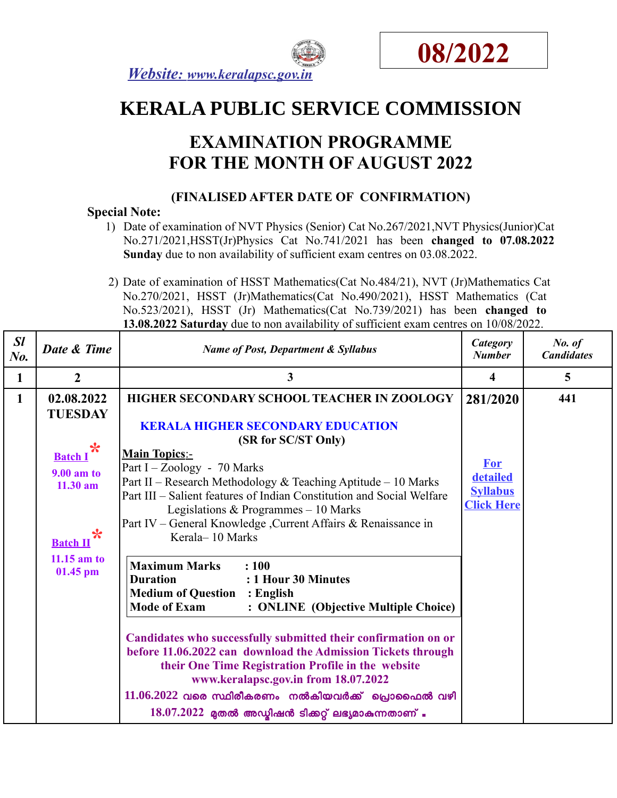



# **KERALA PUBLIC SERVICE COMMISSION**

## **EXAMINATION PROGRAMME FOR THE MONTH OF AUGUST 2022**

### **(FINALISED AFTER DATE OF CONFIRMATION)**

#### **Special Note:**

- 1) Date of examination of NVT Physics (Senior) Cat No.267/2021,NVT Physics(Junior)Cat No.271/2021,HSST(Jr)Physics Cat No.741/2021 has been **changed to 07.08.2022 Sunday** due to non availability of sufficient exam centres on 03.08.2022.
- 2) Date of examination of HSST Mathematics(Cat No.484/21), NVT (Jr)Mathematics Cat No.270/2021, HSST (Jr)Mathematics(Cat No.490/2021), HSST Mathematics (Cat No.523/2021), HSST (Jr) Mathematics(Cat No.739/2021) has been **changed to 13.08.2022 Saturday** due to non availability of sufficient exam centres on 10/08/2022.

| SI<br>No. | Date & Time                                                                                                                                   | <b>Name of Post, Department &amp; Syllabus</b>                                                                                                                                                                                                                                                                                                                                                                                                                                                                                                                                                                                                                                                                                                                    | Category<br><b>Number</b>                                                  | No. of<br><b>Candidates</b> |
|-----------|-----------------------------------------------------------------------------------------------------------------------------------------------|-------------------------------------------------------------------------------------------------------------------------------------------------------------------------------------------------------------------------------------------------------------------------------------------------------------------------------------------------------------------------------------------------------------------------------------------------------------------------------------------------------------------------------------------------------------------------------------------------------------------------------------------------------------------------------------------------------------------------------------------------------------------|----------------------------------------------------------------------------|-----------------------------|
| 1         | $\overline{2}$                                                                                                                                | 3                                                                                                                                                                                                                                                                                                                                                                                                                                                                                                                                                                                                                                                                                                                                                                 | 4                                                                          | 5                           |
| 1         | 02.08.2022<br><b>TUESDAY</b><br>*<br><b>Batch I</b><br>$9.00$ am to<br>$11.30$ am<br>$\ast$<br><b>Batch II</b><br>$11.15$ am to<br>$01.45$ pm | HIGHER SECONDARY SCHOOL TEACHER IN ZOOLOGY<br><b>KERALA HIGHER SECONDARY EDUCATION</b><br>(SR for SC/ST Only)<br><b>Main Topics:-</b><br>Part I – Zoology - $70$ Marks<br>Part II – Research Methodology & Teaching Aptitude – 10 Marks<br>Part III – Salient features of Indian Constitution and Social Welfare<br>Legislations & Programmes $-10$ Marks<br>Part IV - General Knowledge , Current Affairs & Renaissance in<br>Kerala-10 Marks<br><b>Maximum Marks</b><br>: 100<br><b>Duration</b><br>: 1 Hour 30 Minutes<br><b>Medium of Question : English</b><br><b>Mode of Exam</b><br>: ONLINE (Objective Multiple Choice)<br>Candidates who successfully submitted their confirmation on or<br>before 11.06.2022 can download the Admission Tickets through | 281/2020<br><b>For</b><br>detailed<br><b>Syllabus</b><br><b>Click Here</b> | 441                         |
|           |                                                                                                                                               | their One Time Registration Profile in the website<br>www.keralapsc.gov.in from 18.07.2022<br>$11.06.2022$ വരെ സ്ഥിരീകരണം നൽകിയവർക്ക് പ്രൊഫൈൽ വഴി<br>$18.07.2022$ മുതൽ അഡ്മിഷൻ ടിക്കറ്റ് ലഭ്യമാകുന്നതാണ് .                                                                                                                                                                                                                                                                                                                                                                                                                                                                                                                                                        |                                                                            |                             |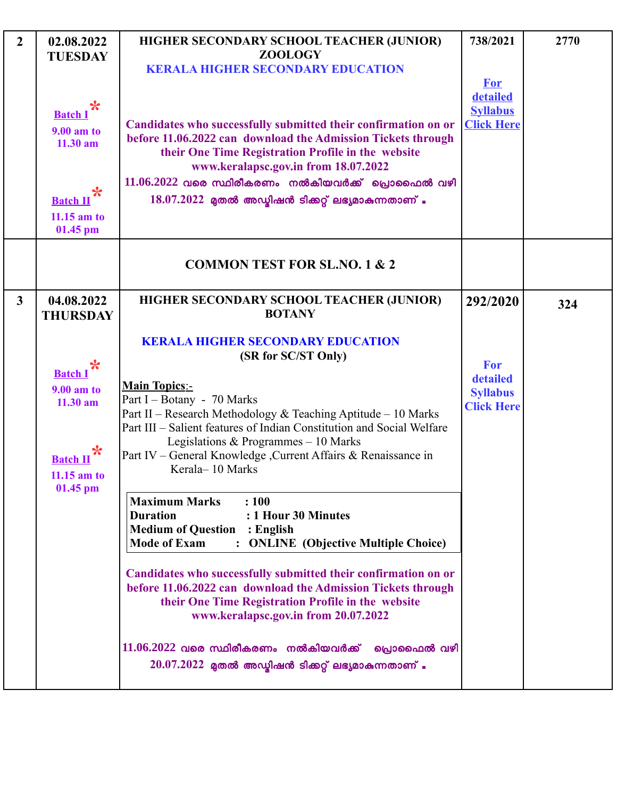| $\overline{2}$ | 02.08.2022<br><b>TUESDAY</b><br>$\ast$<br><b>Batch I</b><br><b>9.00 am to</b><br>11.30 am<br>$\ast$<br><b>Batch II</b><br>$11.15$ am to<br>01.45 pm | HIGHER SECONDARY SCHOOL TEACHER (JUNIOR)<br><b>ZOOLOGY</b><br><b>KERALA HIGHER SECONDARY EDUCATION</b><br>Candidates who successfully submitted their confirmation on or<br>before 11.06.2022 can download the Admission Tickets through<br>their One Time Registration Profile in the website<br>www.keralapsc.gov.in from 18.07.2022<br>$11.06.2022$ വരെ സ്ഥിരീകരണം നൽകിയവർക്ക് പ്രൊഫൈൽ വഴി<br>$18.07.2022$ മുതൽ അഡ്മിഷൻ ടിക്കറ്റ് ലഭ്യമാകുന്നതാണ് .                                                                                                                                                                                                                                                                                                                                                                                                                                                                                                                                      | 738/2021<br><b>For</b><br>detailed<br><b>Syllabus</b><br><b>Click Here</b> | 2770 |
|----------------|-----------------------------------------------------------------------------------------------------------------------------------------------------|---------------------------------------------------------------------------------------------------------------------------------------------------------------------------------------------------------------------------------------------------------------------------------------------------------------------------------------------------------------------------------------------------------------------------------------------------------------------------------------------------------------------------------------------------------------------------------------------------------------------------------------------------------------------------------------------------------------------------------------------------------------------------------------------------------------------------------------------------------------------------------------------------------------------------------------------------------------------------------------------|----------------------------------------------------------------------------|------|
|                |                                                                                                                                                     | <b>COMMON TEST FOR SL.NO. 1 &amp; 2</b>                                                                                                                                                                                                                                                                                                                                                                                                                                                                                                                                                                                                                                                                                                                                                                                                                                                                                                                                                     |                                                                            |      |
| $\mathbf{3}$   | 04.08.2022<br><b>THURSDAY</b><br>$\ast$<br><b>Batch I</b><br><b>9.00 am to</b><br>11.30 am<br>*<br><b>Batch II</b><br>$11.15$ am to<br>01.45 pm     | HIGHER SECONDARY SCHOOL TEACHER (JUNIOR)<br><b>BOTANY</b><br><b>KERALA HIGHER SECONDARY EDUCATION</b><br>(SR for SC/ST Only)<br><b>Main Topics:-</b><br>Part I - Botany - 70 Marks<br>Part II - Research Methodology & Teaching Aptitude - 10 Marks<br>Part III – Salient features of Indian Constitution and Social Welfare<br>Legislations & Programmes $-10$ Marks<br>Part IV - General Knowledge , Current Affairs & Renaissance in<br>Kerala-10 Marks<br><b>Maximum Marks</b><br>: 100<br><b>Duration</b><br>: 1 Hour 30 Minutes<br><b>Medium of Question : English</b><br>: ONLINE (Objective Multiple Choice)<br><b>Mode of Exam</b><br>Candidates who successfully submitted their confirmation on or<br>before 11.06.2022 can download the Admission Tickets through<br>their One Time Registration Profile in the website<br>www.keralapsc.gov.in from 20.07.2022<br>$11.06.2022$ വരെ സ്ഥിരീകരണം നൽകിയവർക്ക് പ്രൊഫൈൽ വഴി<br>$20.07.2022$ മുതൽ അഡ്മിഷൻ ടിക്കറ്റ് ലഭ്യമാകുന്നതാണ് . | 292/2020<br>For<br>detailed<br><b>Syllabus</b><br><b>Click Here</b>        | 324  |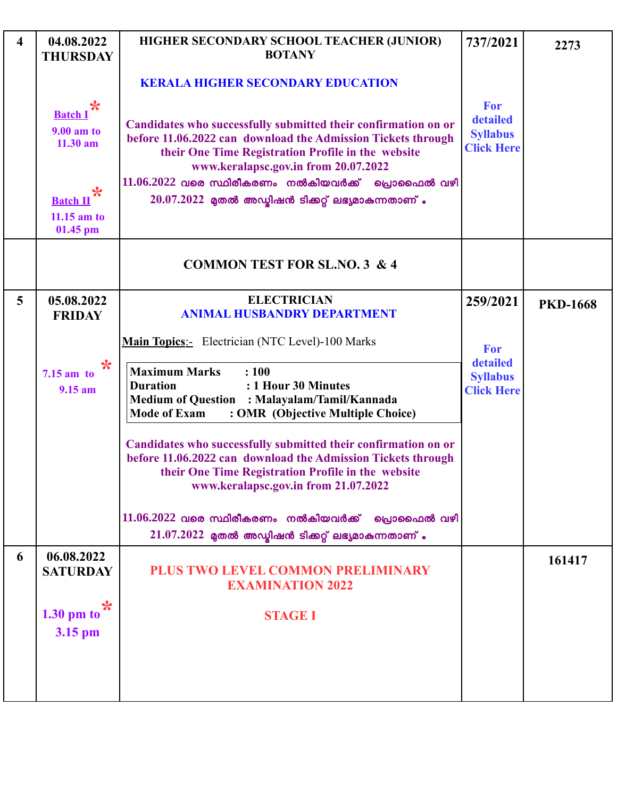| $\overline{\mathbf{4}}$ | 04.08.2022<br><b>THURSDAY</b>                          | HIGHER SECONDARY SCHOOL TEACHER (JUNIOR)<br><b>BOTANY</b>                                                                                                                                                                                                                           | 737/2021                                                | 2273            |
|-------------------------|--------------------------------------------------------|-------------------------------------------------------------------------------------------------------------------------------------------------------------------------------------------------------------------------------------------------------------------------------------|---------------------------------------------------------|-----------------|
|                         |                                                        | <b>KERALA HIGHER SECONDARY EDUCATION</b>                                                                                                                                                                                                                                            |                                                         |                 |
|                         | $\ast$<br><b>Batch I</b><br>9.00 am to<br>$11.30$ am   | Candidates who successfully submitted their confirmation on or<br>before 11.06.2022 can download the Admission Tickets through<br>their One Time Registration Profile in the website<br>www.keralapsc.gov.in from 20.07.2022<br>$11.06.2022$ വരെ സ്ഥിരീകരണം നൽകിയവർക്ക് പ്രൊഫൈൽ വഴി | For<br>detailed<br><b>Syllabus</b><br><b>Click Here</b> |                 |
|                         | $\ast$<br><b>Batch II</b><br>$11.15$ am to<br>01.45 pm | $20.07.2022$ മുതൽ അഡ്മിഷൻ ടിക്കറ്റ് ലഭ്യമാകുന്നതാണ് .                                                                                                                                                                                                                               |                                                         |                 |
|                         |                                                        | <b>COMMON TEST FOR SL.NO. 3 &amp; 4</b>                                                                                                                                                                                                                                             |                                                         |                 |
| 5                       | 05.08.2022<br><b>FRIDAY</b>                            | <b>ELECTRICIAN</b><br><b>ANIMAL HUSBANDRY DEPARTMENT</b>                                                                                                                                                                                                                            | 259/2021                                                | <b>PKD-1668</b> |
|                         |                                                        | <b>Main Topics:</b> Electrician (NTC Level)-100 Marks                                                                                                                                                                                                                               | For                                                     |                 |
|                         | $\ast$<br>$7.15$ am to<br>$9.15$ am                    | <b>Maximum Marks</b><br>: 100<br>: 1 Hour 30 Minutes<br><b>Duration</b><br><b>Medium of Question : Malayalam/Tamil/Kannada</b><br><b>Mode of Exam</b><br>: OMR (Objective Multiple Choice)                                                                                          | detailed<br><b>Syllabus</b><br><b>Click Here</b>        |                 |
|                         |                                                        | Candidates who successfully submitted their confirmation on or<br>before 11.06.2022 can download the Admission Tickets through<br>their One Time Registration Profile in the website<br>www.keralapsc.gov.in from 21.07.2022                                                        |                                                         |                 |
|                         |                                                        | $11.06.2022$ വരെ സ്ഥിരീകരണം നൽകിയവർക്ക് പ്രൊഫൈൽ വഴി<br>$21.07.2022$ മുതൽ അഡ്യിഷൻ ടിക്കറ്റ് ലഭ്യമാകുന്നതാണ് .                                                                                                                                                                        |                                                         |                 |
| 6                       | 06.08.2022<br><b>SATURDAY</b>                          | PLUS TWO LEVEL COMMON PRELIMINARY<br><b>EXAMINATION 2022</b>                                                                                                                                                                                                                        |                                                         | 161417          |
|                         | *<br>$1.30$ pm to<br>3.15 pm                           | <b>STAGE I</b>                                                                                                                                                                                                                                                                      |                                                         |                 |
|                         |                                                        |                                                                                                                                                                                                                                                                                     |                                                         |                 |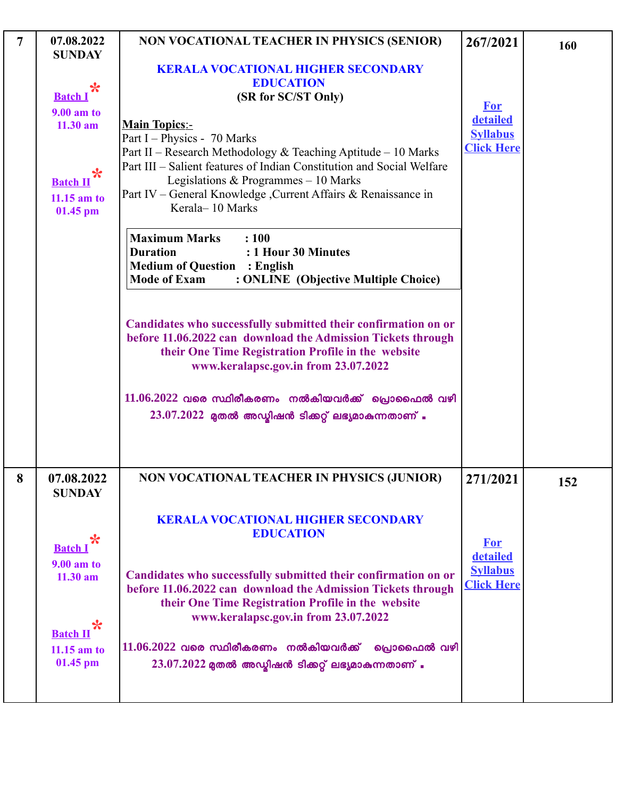| $\overline{7}$ | 07.08.2022                                                                                                                 | NON VOCATIONAL TEACHER IN PHYSICS (SENIOR)                                                                                                                                                                                                                                                                                                                                                                          | 267/2021                                                       | 160 |
|----------------|----------------------------------------------------------------------------------------------------------------------------|---------------------------------------------------------------------------------------------------------------------------------------------------------------------------------------------------------------------------------------------------------------------------------------------------------------------------------------------------------------------------------------------------------------------|----------------------------------------------------------------|-----|
|                | <b>SUNDAY</b><br>$\ast$<br><b>Batch I</b><br>9.00 am to<br>11.30 am<br>☆<br><b>Batch II</b><br>$11.15$ am to<br>$01.45$ pm | <b>KERALA VOCATIONAL HIGHER SECONDARY</b><br><b>EDUCATION</b><br>(SR for SC/ST Only)<br><b>Main Topics:-</b><br>Part I – Physics - 70 Marks<br>Part II – Research Methodology & Teaching Aptitude – 10 Marks<br>Part III – Salient features of Indian Constitution and Social Welfare<br>Legislations & Programmes $-10$ Marks<br>Part IV - General Knowledge , Current Affairs & Renaissance in<br>Kerala-10 Marks | <b>For</b><br>detailed<br><b>Syllabus</b><br><b>Click Here</b> |     |
|                |                                                                                                                            | <b>Maximum Marks</b><br>: 100<br><b>Duration</b><br>: 1 Hour 30 Minutes<br><b>Medium of Question : English</b><br><b>Mode of Exam</b><br>: ONLINE (Objective Multiple Choice)                                                                                                                                                                                                                                       |                                                                |     |
|                |                                                                                                                            | Candidates who successfully submitted their confirmation on or<br>before 11.06.2022 can download the Admission Tickets through<br>their One Time Registration Profile in the website<br>www.keralapsc.gov.in from 23.07.2022                                                                                                                                                                                        |                                                                |     |
|                |                                                                                                                            | $11.06.2022$ വരെ സ്ഥിരീകരണം നൽകിയവർക്ക് പ്രൊഫൈൽ വഴി<br>$23.07.2022$ മുതൽ അഡ്യിഷൻ ടിക്കറ്റ് ലഭ്യമാകുന്നതാണ് .                                                                                                                                                                                                                                                                                                        |                                                                |     |
| 8              | 07.08.2022<br><b>SUNDAY</b>                                                                                                | NON VOCATIONAL TEACHER IN PHYSICS (JUNIOR)                                                                                                                                                                                                                                                                                                                                                                          | 271/2021                                                       | 152 |
|                | $\ast$<br><b>Batch</b> I<br>9.00 am to                                                                                     | <b>KERALA VOCATIONAL HIGHER SECONDARY</b><br><b>EDUCATION</b>                                                                                                                                                                                                                                                                                                                                                       | <b>For</b><br>detailed                                         |     |
|                | $11.30$ am<br>$\ast$                                                                                                       | Candidates who successfully submitted their confirmation on or<br>before 11.06.2022 can download the Admission Tickets through<br>their One Time Registration Profile in the website<br>www.keralapsc.gov.in from 23.07.2022                                                                                                                                                                                        | <b>Syllabus</b><br><b>Click Here</b>                           |     |
|                | <b>Batch II</b><br>$11.15$ am to<br>01.45 pm                                                                               | $11.06.2022$ വരെ സ്ഥിരീകരണം നൽകിയവർക്ക്<br>പ്രൊഫൈൽ വഴി<br>$23.07.2022$ മുതൽ അഡ്ബിഷൻ ടിക്കറ്റ് ലഭ്യമാകുന്നതാണ് .                                                                                                                                                                                                                                                                                                     |                                                                |     |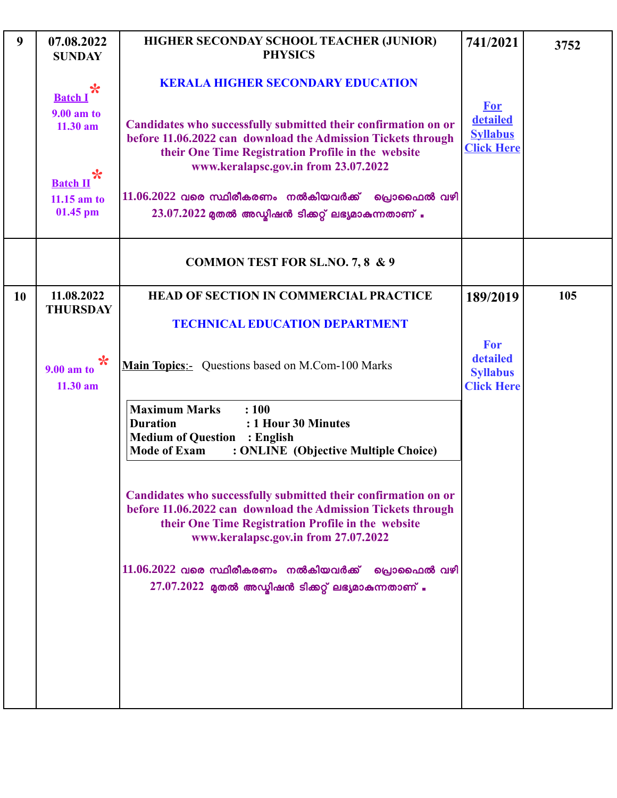| 9         | 07.08.2022<br><b>SUNDAY</b>          | HIGHER SECONDAY SCHOOL TEACHER (JUNIOR)<br><b>PHYSICS</b>                                                                                                                                                                    | 741/2021                                                | 3752 |
|-----------|--------------------------------------|------------------------------------------------------------------------------------------------------------------------------------------------------------------------------------------------------------------------------|---------------------------------------------------------|------|
|           | $\ast$<br><b>Batch I</b>             | <b>KERALA HIGHER SECONDARY EDUCATION</b>                                                                                                                                                                                     | <b>For</b>                                              |      |
|           | 9.00 am to<br>$11.30$ am<br>*        | Candidates who successfully submitted their confirmation on or<br>before 11.06.2022 can download the Admission Tickets through<br>their One Time Registration Profile in the website<br>www.keralapsc.gov.in from 23.07.2022 | detailed<br><b>Syllabus</b><br><b>Click Here</b>        |      |
|           | <b>Batch II</b><br>$11.15$ am to     | $11.06.2022$ വരെ സ്ഥിരീകരണം നൽകിയവർക്ക്<br>പ്രൊഫൈൽ വഴി                                                                                                                                                                       |                                                         |      |
|           | 01.45 pm                             | $23.07.2022$ മുതൽ അഡ്മിഷൻ ടിക്കറ്റ് ലഭ്യമാകുന്നതാണ് .                                                                                                                                                                        |                                                         |      |
|           |                                      | <b>COMMON TEST FOR SL.NO. 7, 8 &amp; 9</b>                                                                                                                                                                                   |                                                         |      |
| <b>10</b> | 11.08.2022<br><b>THURSDAY</b>        | <b>HEAD OF SECTION IN COMMERCIAL PRACTICE</b>                                                                                                                                                                                | 189/2019                                                | 105  |
|           |                                      | <b>TECHNICAL EDUCATION DEPARTMENT</b>                                                                                                                                                                                        |                                                         |      |
|           | $\ast$<br>$9.00$ am to<br>$11.30$ am | Main Topics:- Questions based on M.Com-100 Marks                                                                                                                                                                             | For<br>detailed<br><b>Syllabus</b><br><b>Click Here</b> |      |
|           |                                      | <b>Maximum Marks</b><br>: 100<br>: 1 Hour 30 Minutes<br><b>Duration</b><br><b>Medium of Question : English</b><br><b>Mode of Exam</b><br>: ONLINE (Objective Multiple Choice)                                                |                                                         |      |
|           |                                      | Candidates who successfully submitted their confirmation on or<br>before 11.06.2022 can download the Admission Tickets through<br>their One Time Registration Profile in the website<br>www.keralapsc.gov.in from 27.07.2022 |                                                         |      |
|           |                                      | $11.06.2022$ വരെ സ്ഥിരീകരണം നൽകിയവർക്ക്<br>പ്രൊഫൈൽ വഴി<br>$27.07.2022$ മുതൽ അഡ്മിഷൻ ടിക്കറ്റ് ലഭ്യമാകുന്നതാണ് .                                                                                                              |                                                         |      |
|           |                                      |                                                                                                                                                                                                                              |                                                         |      |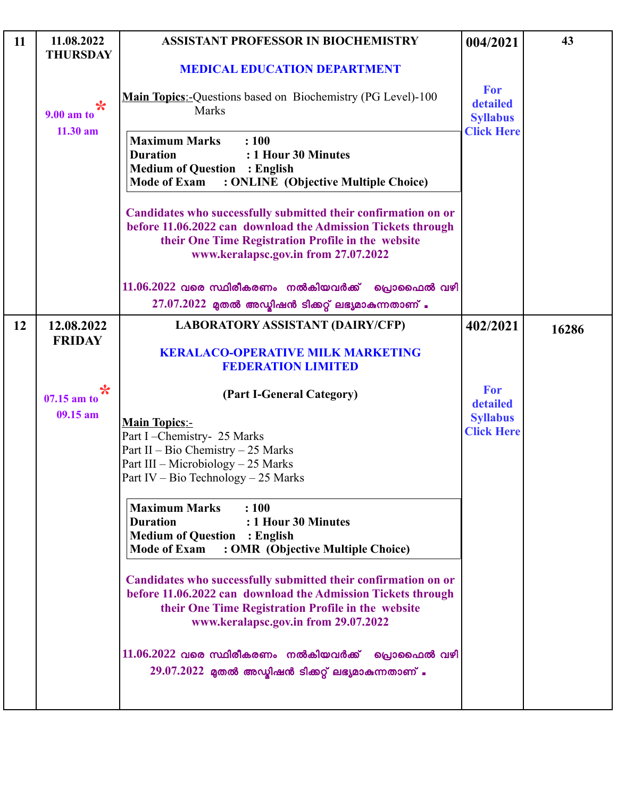| 11 | 11.08.2022<br><b>THURSDAY</b> | <b>ASSISTANT PROFESSOR IN BIOCHEMISTRY</b>                                                                                                                                                                                   | 004/2021                             | 43    |
|----|-------------------------------|------------------------------------------------------------------------------------------------------------------------------------------------------------------------------------------------------------------------------|--------------------------------------|-------|
|    |                               | <b>MEDICAL EDUCATION DEPARTMENT</b>                                                                                                                                                                                          |                                      |       |
|    | $\star$<br>9.00 am to         | Main Topics:-Questions based on Biochemistry (PG Level)-100<br><b>Marks</b>                                                                                                                                                  | For<br>detailed<br><b>Syllabus</b>   |       |
|    | $11.30$ am                    | <b>Maximum Marks</b><br>: 100<br><b>Duration</b><br>: 1 Hour 30 Minutes<br><b>Medium of Question : English</b><br><b>Mode of Exam</b><br>: ONLINE (Objective Multiple Choice)                                                | <b>Click Here</b>                    |       |
|    |                               | Candidates who successfully submitted their confirmation on or<br>before 11.06.2022 can download the Admission Tickets through<br>their One Time Registration Profile in the website<br>www.keralapsc.gov.in from 27.07.2022 |                                      |       |
|    |                               | $11.06.2022$ വരെ സ്ഥിരീകരണം നൽകിയവർക്ക് പ്രൊഫൈൽ വഴി<br>$27.07.2022$ മുതൽ അഡ്യിഷൻ ടിക്കറ്റ് ലഭ്യമാകുന്നതാണ് .                                                                                                                 |                                      |       |
| 12 | 12.08.2022                    | <b>LABORATORY ASSISTANT (DAIRY/CFP)</b>                                                                                                                                                                                      | 402/2021                             | 16286 |
|    | <b>FRIDAY</b>                 | <b>KERALACO-OPERATIVE MILK MARKETING</b><br><b>FEDERATION LIMITED</b>                                                                                                                                                        |                                      |       |
|    | $\star$<br>07.15 am to        | (Part I-General Category)                                                                                                                                                                                                    | For<br>detailed                      |       |
|    | 09.15 am                      | <b>Main Topics:-</b><br>Part I-Chemistry- 25 Marks<br>Part II – Bio Chemistry – 25 Marks<br>Part III - Microbiology - 25 Marks<br>Part IV - Bio Technology - 25 Marks                                                        | <b>Syllabus</b><br><b>Click Here</b> |       |
|    |                               | <b>Maximum Marks</b><br>: 100<br><b>Duration</b><br>: 1 Hour 30 Minutes<br><b>Medium of Question : English</b><br><b>Mode of Exam</b><br>: OMR (Objective Multiple Choice)                                                   |                                      |       |
|    |                               | Candidates who successfully submitted their confirmation on or<br>before 11.06.2022 can download the Admission Tickets through<br>their One Time Registration Profile in the website<br>www.keralapsc.gov.in from 29.07.2022 |                                      |       |
|    |                               | $11.06.2022$ വരെ സ്ഥിരീകരണം നൽകിയവർക്ക്<br>പ്രൊഫൈൽ വഴി<br>$29.07.2022$ മുതൽ അഡ്യിഷൻ ടിക്കറ്റ് ലഭ്യമാകുന്നതാണ് .                                                                                                              |                                      |       |
|    |                               |                                                                                                                                                                                                                              |                                      |       |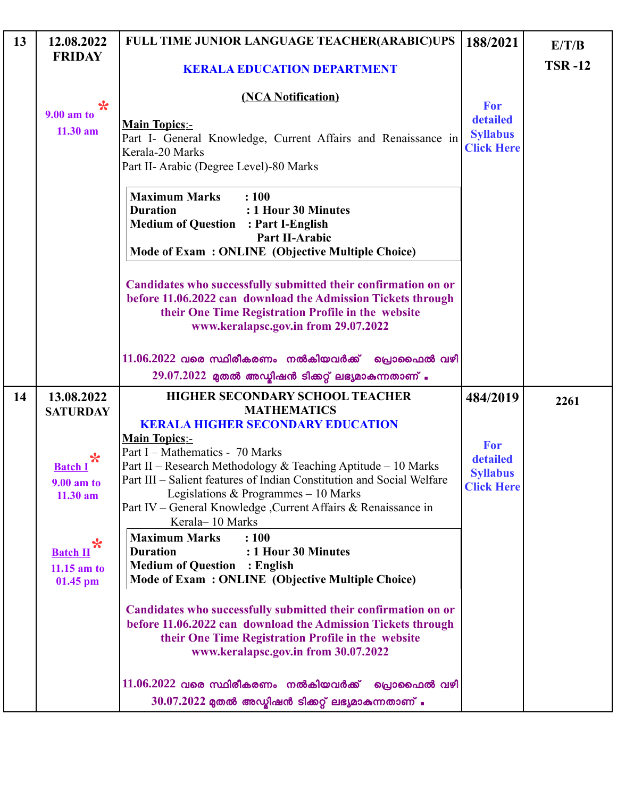| 13 | 12.08.2022                                          | FULL TIME JUNIOR LANGUAGE TEACHER(ARABIC)UPS                                                                                                                                                                                                                                                                                                                                                                                       | 188/2021                                                | E/T/B         |
|----|-----------------------------------------------------|------------------------------------------------------------------------------------------------------------------------------------------------------------------------------------------------------------------------------------------------------------------------------------------------------------------------------------------------------------------------------------------------------------------------------------|---------------------------------------------------------|---------------|
|    | <b>FRIDAY</b>                                       | <b>KERALA EDUCATION DEPARTMENT</b>                                                                                                                                                                                                                                                                                                                                                                                                 |                                                         | <b>TSR-12</b> |
|    | $\ast$<br><b>9.00 am to</b><br>$11.30$ am           | (NCA Notification)<br><b>Main Topics:-</b><br>Part I- General Knowledge, Current Affairs and Renaissance in<br>Kerala-20 Marks<br>Part II- Arabic (Degree Level)-80 Marks                                                                                                                                                                                                                                                          | For<br>detailed<br><b>Syllabus</b><br><b>Click Here</b> |               |
|    |                                                     | <b>Maximum Marks</b><br>: 100<br><b>Duration</b><br>: 1 Hour 30 Minutes<br><b>Medium of Question : Part I-English</b><br><b>Part II-Arabic</b><br>Mode of Exam: ONLINE (Objective Multiple Choice)<br>Candidates who successfully submitted their confirmation on or<br>before 11.06.2022 can download the Admission Tickets through<br>their One Time Registration Profile in the website<br>www.keralapsc.gov.in from 29.07.2022 |                                                         |               |
|    |                                                     | $11.06.2022$ വരെ സ്ഥിരീകരണം നൽകിയവർക്ക്<br>പ്രൊഫൈൽ വഴി<br>$29.07.2022$ മുതൽ അഡ്യിഷൻ ടിക്കറ്റ് ലഭ്യമാകുന്നതാണ് .                                                                                                                                                                                                                                                                                                                    |                                                         |               |
| 14 | 13.08.2022<br><b>SATURDAY</b>                       | HIGHER SECONDARY SCHOOL TEACHER<br><b>MATHEMATICS</b><br><b>KERALA HIGHER SECONDARY EDUCATION</b>                                                                                                                                                                                                                                                                                                                                  | 484/2019                                                | 2261          |
|    | <b>Batch I</b><br>9.00 am to<br>11.30 am            | <b>Main Topics:-</b><br>Part I – Mathematics - 70 Marks<br>Part II - Research Methodology & Teaching Aptitude - 10 Marks<br>Part III – Salient features of Indian Constitution and Social Welfare<br>Legislations & Programmes $-10$ Marks<br>Part IV – General Knowledge, Current Affairs & Renaissance in<br>Kerala-10 Marks                                                                                                     | For<br>detailed<br><b>Syllabus</b><br><b>Click Here</b> |               |
|    | ℀<br><b>Batch II</b><br>$11.15$ am to<br>$01.45$ pm | <b>Maximum Marks</b><br>: 100<br><b>Duration</b><br>: 1 Hour 30 Minutes<br><b>Medium of Question : English</b><br>Mode of Exam: ONLINE (Objective Multiple Choice)                                                                                                                                                                                                                                                                 |                                                         |               |
|    |                                                     | Candidates who successfully submitted their confirmation on or<br>before 11.06.2022 can download the Admission Tickets through<br>their One Time Registration Profile in the website<br>www.keralapsc.gov.in from 30.07.2022                                                                                                                                                                                                       |                                                         |               |
|    |                                                     | $11.06.2022$ വരെ സ്ഥിരീകരണം നൽകിയവർക്ക് പ്രൊഫൈൽ വഴി<br>$30.07.2022$ മുതൽ അഡ്മിഷൻ ടിക്കറ്റ് ലഭ്യമാകുന്നതാണ് .                                                                                                                                                                                                                                                                                                                       |                                                         |               |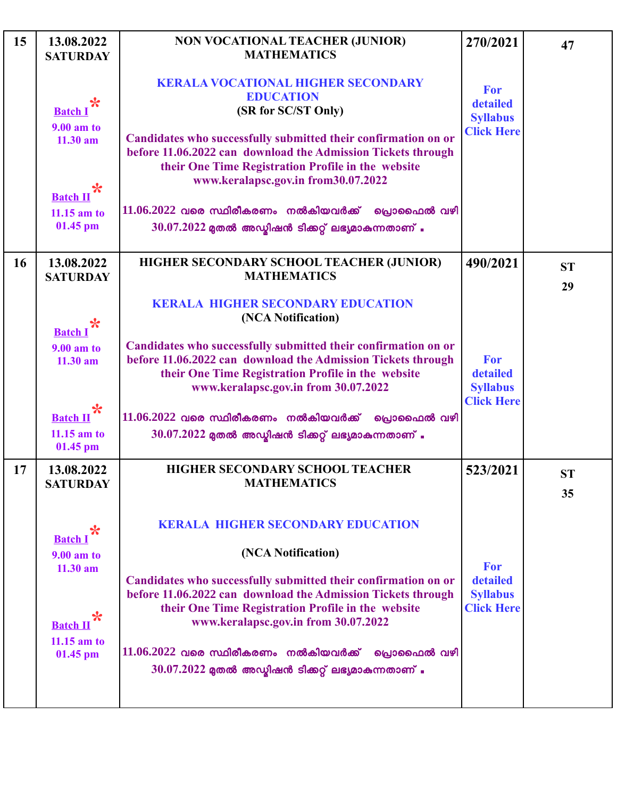| 15 | 13.08.2022<br><b>SATURDAY</b>                          | NON VOCATIONAL TEACHER (JUNIOR)<br><b>MATHEMATICS</b>                                                                                                                                                                        | 270/2021                                                | 47              |
|----|--------------------------------------------------------|------------------------------------------------------------------------------------------------------------------------------------------------------------------------------------------------------------------------------|---------------------------------------------------------|-----------------|
|    | $\ast$<br><b>Batch</b> I                               | <b>KERALA VOCATIONAL HIGHER SECONDARY</b><br><b>EDUCATION</b><br>(SR for SC/ST Only)                                                                                                                                         | For<br>detailed<br><b>Syllabus</b>                      |                 |
|    | <b>9.00 am to</b><br>11.30 am<br>$\ast$                | Candidates who successfully submitted their confirmation on or<br>before 11.06.2022 can download the Admission Tickets through<br>their One Time Registration Profile in the website<br>www.keralapsc.gov.in from30.07.2022  | <b>Click Here</b>                                       |                 |
|    | <b>Batch II</b><br>$11.15$ am to<br>01.45 pm           | $11.06.2022$ വരെ സ്ഥിരീകരണം നൽകിയവർക്ക്<br>പ്രൊഫൈൽ വഴി<br>$30.07.2022$ മുതൽ അഡ്മിഷൻ ടിക്കറ്റ് ലഭ്യമാകുന്നതാണ് .                                                                                                              |                                                         |                 |
| 16 | 13.08.2022<br><b>SATURDAY</b>                          | HIGHER SECONDARY SCHOOL TEACHER (JUNIOR)<br><b>MATHEMATICS</b>                                                                                                                                                               | 490/2021                                                | <b>ST</b><br>29 |
|    | $\ast$<br><b>Batch</b> I                               | <b>KERALA HIGHER SECONDARY EDUCATION</b><br>(NCA Notification)                                                                                                                                                               |                                                         |                 |
|    | 9.00 am to<br>$11.30$ am                               | Candidates who successfully submitted their confirmation on or<br>before 11.06.2022 can download the Admission Tickets through<br>their One Time Registration Profile in the website<br>www.keralapsc.gov.in from 30.07.2022 | For<br>detailed<br><b>Syllabus</b><br><b>Click Here</b> |                 |
|    | $\ast$<br><b>Batch II</b><br>$11.15$ am to<br>01.45 pm | $11.06.2022$ വരെ സ്ഥിരീകരണം നൽകിയവർക്ക്<br>പ്രൊഫൈൽ വഴി<br>$30.07.2022$ മുതൽ അഡ്ബിഷൻ ടിക്കറ്റ് ലഭ്യമാകുന്നതാണ് .                                                                                                              |                                                         |                 |
| 17 | 13.08.2022<br><b>SATURDAY</b>                          | HIGHER SECONDARY SCHOOL TEACHER<br><b>MATHEMATICS</b>                                                                                                                                                                        | 523/2021                                                | <b>ST</b><br>35 |
|    | ℀<br><b>Batch</b> I                                    | <b>KERALA HIGHER SECONDARY EDUCATION</b>                                                                                                                                                                                     |                                                         |                 |
|    | <b>9.00 am to</b><br>11.30 am                          | (NCA Notification)<br>Candidates who successfully submitted their confirmation on or                                                                                                                                         | For<br>detailed                                         |                 |
|    | $\ast$<br><b>Batch II</b>                              | before 11.06.2022 can download the Admission Tickets through<br>their One Time Registration Profile in the website<br>www.keralapsc.gov.in from 30.07.2022                                                                   | <b>Syllabus</b><br><b>Click Here</b>                    |                 |
|    | $11.15$ am to<br>$01.45$ pm                            | $11.06.2022$ വരെ സ്ഥിരീകരണം നൽകിയവർക്ക്<br>്രവാഫൈൽ വഴി<br>$30.07.2022$ മുതൽ അഡ്ബിഷൻ ടിക്കറ്റ് ലഭ്യമാകുന്നതാണ് .                                                                                                              |                                                         |                 |
|    |                                                        |                                                                                                                                                                                                                              |                                                         |                 |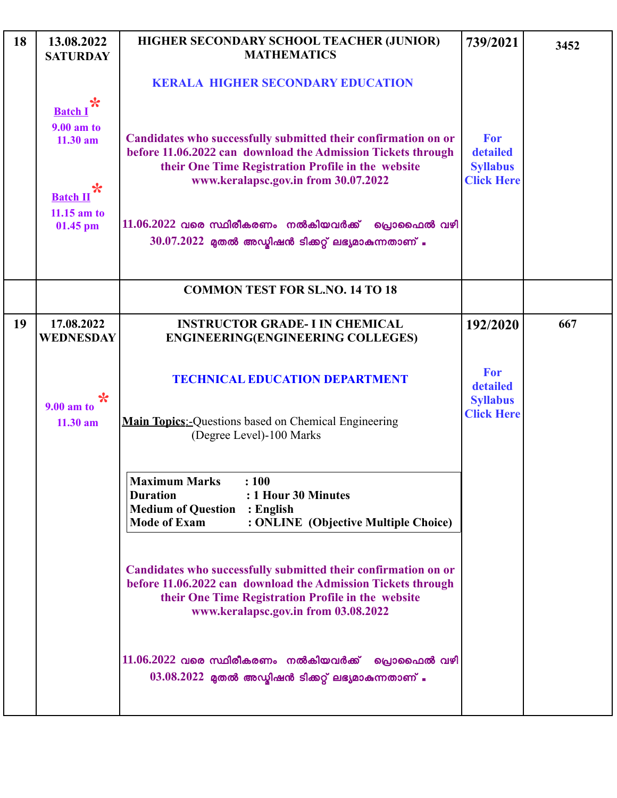| 18 | 13.08.2022<br><b>SATURDAY</b>    | HIGHER SECONDARY SCHOOL TEACHER (JUNIOR)<br><b>MATHEMATICS</b>                                                                                                                                                               | 739/2021                           | 3452 |
|----|----------------------------------|------------------------------------------------------------------------------------------------------------------------------------------------------------------------------------------------------------------------------|------------------------------------|------|
|    |                                  | <b>KERALA HIGHER SECONDARY EDUCATION</b>                                                                                                                                                                                     |                                    |      |
|    | ℀<br><b>Batch I</b>              |                                                                                                                                                                                                                              |                                    |      |
|    | <b>9.00 am to</b><br>$11.30$ am  | Candidates who successfully submitted their confirmation on or                                                                                                                                                               | For                                |      |
|    |                                  | before 11.06.2022 can download the Admission Tickets through<br>their One Time Registration Profile in the website                                                                                                           | detailed<br><b>Syllabus</b>        |      |
|    | *                                | www.keralapsc.gov.in from 30.07.2022                                                                                                                                                                                         | <b>Click Here</b>                  |      |
|    | <b>Batch II</b><br>$11.15$ am to |                                                                                                                                                                                                                              |                                    |      |
|    | 01.45 pm                         | $11.06.2022$ വരെ സ്ഥിരീകരണം നൽകിയവർക്ക്<br>പ്രൊഫൈൽ വഴി<br>$30.07.2022$ മുതൽ അഡ്യിഷൻ ടിക്കറ്റ് ലഭ്യമാകുന്നതാണ് .                                                                                                              |                                    |      |
|    |                                  |                                                                                                                                                                                                                              |                                    |      |
|    |                                  | <b>COMMON TEST FOR SL.NO. 14 TO 18</b>                                                                                                                                                                                       |                                    |      |
| 19 | 17.08.2022                       | <b>INSTRUCTOR GRADE- I IN CHEMICAL</b>                                                                                                                                                                                       | 192/2020                           | 667  |
|    | <b>WEDNESDAY</b>                 | <b>ENGINEERING(ENGINEERING COLLEGES)</b>                                                                                                                                                                                     |                                    |      |
|    | ℀<br><b>9.00 am to</b>           | <b>TECHNICAL EDUCATION DEPARTMENT</b>                                                                                                                                                                                        | For<br>detailed<br><b>Syllabus</b> |      |
|    | $11.30$ am                       | <b>Main Topics:-</b> Questions based on Chemical Engineering<br>(Degree Level)-100 Marks                                                                                                                                     | <b>Click Here</b>                  |      |
|    |                                  | $\cdot$ 100<br><b>Maximum Marks</b><br>: 1 Hour 30 Minutes<br><b>Duration</b><br><b>Medium of Question : English</b><br>: ONLINE (Objective Multiple Choice)<br><b>Mode of Exam</b>                                          |                                    |      |
|    |                                  | Candidates who successfully submitted their confirmation on or<br>before 11.06.2022 can download the Admission Tickets through<br>their One Time Registration Profile in the website<br>www.keralapsc.gov.in from 03.08.2022 |                                    |      |
|    |                                  | $11.06.2022$ വരെ സ്ഥിരീകരണം നൽകിയവർക്ക് പ്രൊഫൈൽ വഴി<br>$03.08.2022$ മുതൽ അഡ്മിഷൻ ടിക്കറ്റ് ലഭ്യമാകുന്നതാണ് .                                                                                                                 |                                    |      |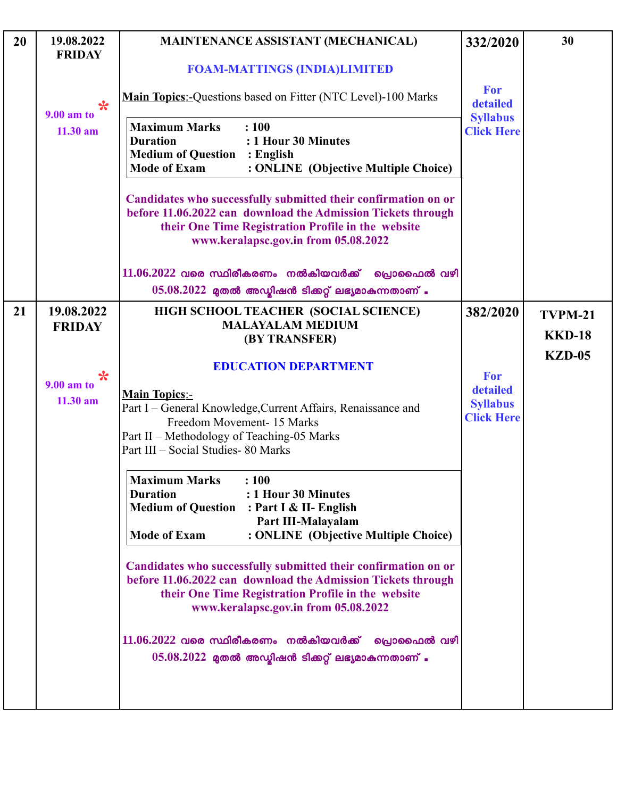| 20 | 19.08.2022<br><b>FRIDAY</b>           | <b>MAINTENANCE ASSISTANT (MECHANICAL)</b>                                                                                                                                                                                                                                                                                                                                                                                                                                                                                                                 | 332/2020                                                | 30             |
|----|---------------------------------------|-----------------------------------------------------------------------------------------------------------------------------------------------------------------------------------------------------------------------------------------------------------------------------------------------------------------------------------------------------------------------------------------------------------------------------------------------------------------------------------------------------------------------------------------------------------|---------------------------------------------------------|----------------|
|    |                                       | <b>FOAM-MATTINGS (INDIA)LIMITED</b>                                                                                                                                                                                                                                                                                                                                                                                                                                                                                                                       |                                                         |                |
|    | $\ast$<br><b>9.00 am to</b>           | Main Topics:-Questions based on Fitter (NTC Level)-100 Marks                                                                                                                                                                                                                                                                                                                                                                                                                                                                                              | For<br>detailed                                         |                |
|    | $11.30$ am                            | <b>Maximum Marks</b><br>: 100<br><b>Duration</b><br>: 1 Hour 30 Minutes<br><b>Medium of Question</b><br>: English<br><b>Mode of Exam</b><br>: ONLINE (Objective Multiple Choice)                                                                                                                                                                                                                                                                                                                                                                          | <b>Syllabus</b><br><b>Click Here</b>                    |                |
|    |                                       | Candidates who successfully submitted their confirmation on or<br>before 11.06.2022 can download the Admission Tickets through<br>their One Time Registration Profile in the website<br>www.keralapsc.gov.in from 05.08.2022                                                                                                                                                                                                                                                                                                                              |                                                         |                |
|    |                                       | $11.06.2022$ വരെ സ്ഥിരീകരണം നൽകിയവർക്ക്<br>പ്രൊഫൈൽ വഴി<br>$05.08.2022$ മുതൽ അഡ്യിഷൻ ടിക്കറ്റ് ലഭ്യമാകുന്നതാണ് .                                                                                                                                                                                                                                                                                                                                                                                                                                           |                                                         |                |
| 21 | 19.08.2022                            | HIGH SCHOOL TEACHER (SOCIAL SCIENCE)<br><b>MALAYALAM MEDIUM</b>                                                                                                                                                                                                                                                                                                                                                                                                                                                                                           | 382/2020                                                | <b>TVPM-21</b> |
|    | <b>FRIDAY</b>                         | (BY TRANSFER)                                                                                                                                                                                                                                                                                                                                                                                                                                                                                                                                             |                                                         | <b>KKD-18</b>  |
|    | $\star$<br>$9.00$ am to<br>$11.30$ am | <b>EDUCATION DEPARTMENT</b><br><b>Main Topics:-</b><br>Part I - General Knowledge, Current Affairs, Renaissance and<br>Freedom Movement- 15 Marks<br>Part II - Methodology of Teaching-05 Marks<br>Part III - Social Studies-80 Marks                                                                                                                                                                                                                                                                                                                     | For<br>detailed<br><b>Syllabus</b><br><b>Click Here</b> | $KZD-05$       |
|    |                                       | <b>Maximum Marks</b><br>: 100<br><b>Duration</b><br>: 1 Hour 30 Minutes<br>Medium of Question : Part I & II- English<br>Part III-Malayalam<br><b>Mode of Exam</b><br>: ONLINE (Objective Multiple Choice)<br>Candidates who successfully submitted their confirmation on or<br>before 11.06.2022 can download the Admission Tickets through<br>their One Time Registration Profile in the website<br>www.keralapsc.gov.in from 05.08.2022<br>$11.06.2022$ വരെ സ്ഥിരീകരണം നൽകിയവർക്ക് പ്രൊഫൈൽ വഴി<br>$05.08.2022$ മുതൽ അഡ്മിഷൻ ടിക്കറ്റ് ലഭ്യമാകുന്നതാണ് . |                                                         |                |
|    |                                       |                                                                                                                                                                                                                                                                                                                                                                                                                                                                                                                                                           |                                                         |                |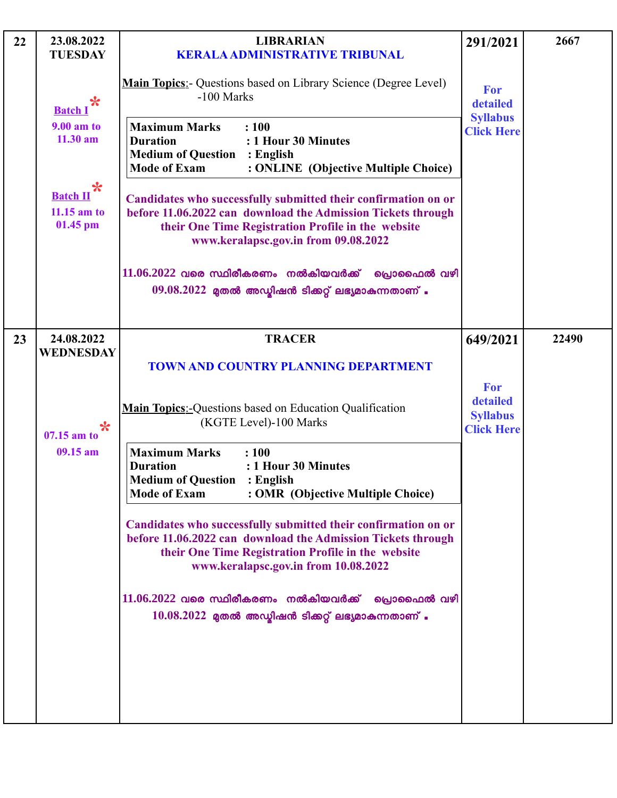| <b>Click Here</b>           |
|-----------------------------|
|                             |
|                             |
| 22490                       |
| <b>Click Here</b>           |
|                             |
|                             |
|                             |
|                             |
| 649/2021<br><b>Syllabus</b> |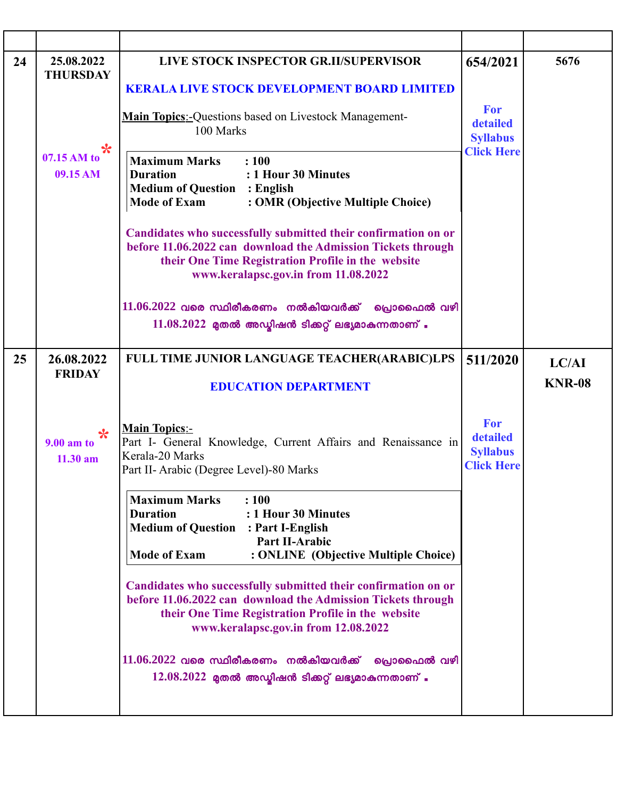| 24 | 25.08.2022<br><b>THURSDAY</b>         | LIVE STOCK INSPECTOR GR.II/SUPERVISOR                                                                                                                                                                                        | 654/2021                                                | 5676                   |
|----|---------------------------------------|------------------------------------------------------------------------------------------------------------------------------------------------------------------------------------------------------------------------------|---------------------------------------------------------|------------------------|
|    |                                       | <b>KERALA LIVE STOCK DEVELOPMENT BOARD LIMITED</b>                                                                                                                                                                           |                                                         |                        |
|    |                                       | <b>Main Topics:-</b> Questions based on Livestock Management-<br>100 Marks                                                                                                                                                   | For<br>detailed<br><b>Syllabus</b>                      |                        |
|    | *<br>07.15 AM to<br>09.15 AM          | <b>Maximum Marks</b><br>: 100<br><b>Duration</b><br>: 1 Hour 30 Minutes<br><b>Medium of Question : English</b><br><b>Mode of Exam</b><br>: OMR (Objective Multiple Choice)                                                   | <b>Click Here</b>                                       |                        |
|    |                                       | Candidates who successfully submitted their confirmation on or<br>before 11.06.2022 can download the Admission Tickets through<br>their One Time Registration Profile in the website<br>www.keralapsc.gov.in from 11.08.2022 |                                                         |                        |
|    |                                       | $11.06.2022$ വരെ സ്ഥിരീകരണം നൽകിയവർക്ക് പ്രൊഫൈൽ വഴി<br>$11.08.2022$ മുതൽ അഡ്യിഷൻ ടിക്കറ്റ് ലഭ്യമാകുന്നതാണ് .                                                                                                                 |                                                         |                        |
| 25 | 26.08.2022<br><b>FRIDAY</b>           | <b>FULL TIME JUNIOR LANGUAGE TEACHER(ARABIC)LPS</b><br><b>EDUCATION DEPARTMENT</b>                                                                                                                                           | 511/2020                                                | LC/AI<br><b>KNR-08</b> |
|    |                                       |                                                                                                                                                                                                                              |                                                         |                        |
|    | $\star$<br>$9.00$ am to<br>$11.30$ am | <b>Main Topics:-</b><br>Part I- General Knowledge, Current Affairs and Renaissance in<br>Kerala-20 Marks<br>Part II- Arabic (Degree Level)-80 Marks                                                                          | For<br>detailed<br><b>Syllabus</b><br><b>Click Here</b> |                        |
|    |                                       | <b>Maximum Marks</b><br>: 100<br><b>Duration</b><br>: 1 Hour 30 Minutes<br><b>Medium of Question</b><br>: Part I-English<br><b>Part II-Arabic</b><br><b>Mode of Exam</b><br>: ONLINE (Objective Multiple Choice)             |                                                         |                        |
|    |                                       | Candidates who successfully submitted their confirmation on or<br>before 11.06.2022 can download the Admission Tickets through<br>their One Time Registration Profile in the website<br>www.keralapsc.gov.in from 12.08.2022 |                                                         |                        |
|    |                                       | $11.06.2022$ വരെ സ്ഥിരീകരണം നൽകിയവർക്ക്<br>പ്രൊഫൈൽ വഴി<br>$12.08.2022$ മുതൽ അഡ്യിഷൻ ടിക്കറ്റ് ലഭ്യമാകുന്നതാണ് .                                                                                                              |                                                         |                        |
|    |                                       |                                                                                                                                                                                                                              |                                                         |                        |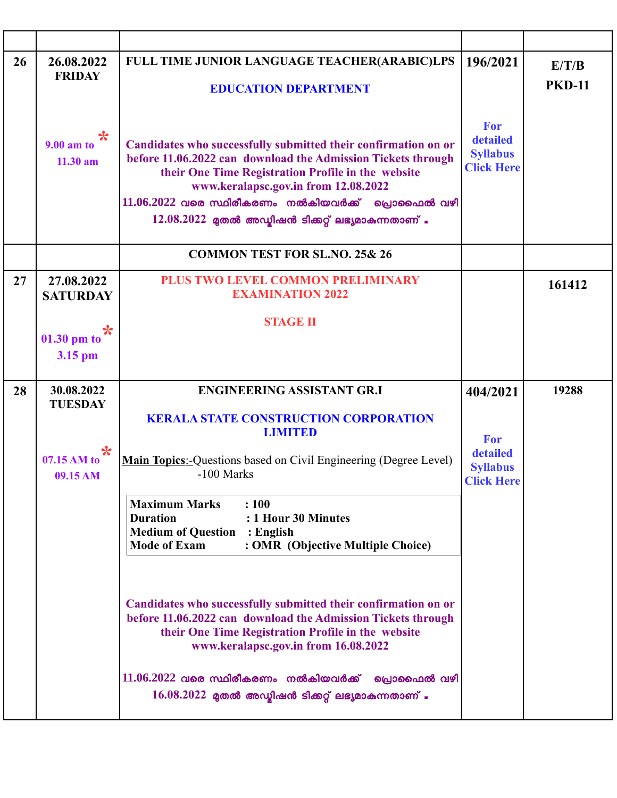| 26 | 26.08.2022<br><b>FRIDAY</b>       | FULL TIME JUNIOR LANGUAGE TEACHER(ARABIC)LPS<br><b>EDUCATION DEPARTMENT</b>                                                                                                                                                                                                                                                                  | 196/2021                                                | E/T/B<br><b>PKD-11</b> |
|----|-----------------------------------|----------------------------------------------------------------------------------------------------------------------------------------------------------------------------------------------------------------------------------------------------------------------------------------------------------------------------------------------|---------------------------------------------------------|------------------------|
|    | ✬<br>$9.00$ am to<br>$11.30$ am   | Candidates who successfully submitted their confirmation on or<br>before 11.06.2022 can download the Admission Tickets through<br>their One Time Registration Profile in the website<br>www.keralapsc.gov.in from 12.08.2022<br>$11.06.2022$ വരെ സ്ഥിരീകരണം നൽകിയവർക്ക് പ്രൊഫൈൽ വഴി<br>$12.08.2022$ മുതൽ അഡ്മിഷൻ ടിക്കറ്റ് ലഭ്യമാകുന്നതാണ് . | For<br>detailed<br><b>Syllabus</b><br><b>Click Here</b> |                        |
|    |                                   | <b>COMMON TEST FOR SL.NO. 25&amp; 26</b>                                                                                                                                                                                                                                                                                                     |                                                         |                        |
| 27 | 27.08.2022<br><b>SATURDAY</b>     | PLUS TWO LEVEL COMMON PRELIMINARY<br><b>EXAMINATION 2022</b>                                                                                                                                                                                                                                                                                 |                                                         | 161412                 |
|    | $\ast$                            | <b>STAGE II</b>                                                                                                                                                                                                                                                                                                                              |                                                         |                        |
|    | 01.30 pm to                       |                                                                                                                                                                                                                                                                                                                                              |                                                         |                        |
|    | 3.15 pm                           |                                                                                                                                                                                                                                                                                                                                              |                                                         |                        |
|    |                                   |                                                                                                                                                                                                                                                                                                                                              |                                                         |                        |
| 28 | 30.08.2022                        | <b>ENGINEERING ASSISTANT GR.I</b>                                                                                                                                                                                                                                                                                                            | 404/2021                                                | 19288                  |
|    | <b>TUESDAY</b>                    | <b>KERALA STATE CONSTRUCTION CORPORATION</b><br><b>LIMITED</b>                                                                                                                                                                                                                                                                               |                                                         |                        |
|    | $\ast$<br>07.15 AM to<br>09.15 AM | <b>Main Topics:-</b> Questions based on Civil Engineering (Degree Level)<br>-100 Marks                                                                                                                                                                                                                                                       | For<br>detailed<br><b>Syllabus</b><br><b>Click Here</b> |                        |
|    |                                   | <b>Maximum Marks</b><br>: 100<br><b>Duration</b><br>: 1 Hour 30 Minutes<br><b>Medium of Question : English</b>                                                                                                                                                                                                                               |                                                         |                        |
|    |                                   | <b>Mode of Exam</b><br>: OMR (Objective Multiple Choice)                                                                                                                                                                                                                                                                                     |                                                         |                        |
|    |                                   | Candidates who successfully submitted their confirmation on or<br>before 11.06.2022 can download the Admission Tickets through<br>their One Time Registration Profile in the website<br>www.keralapsc.gov.in from 16.08.2022                                                                                                                 |                                                         |                        |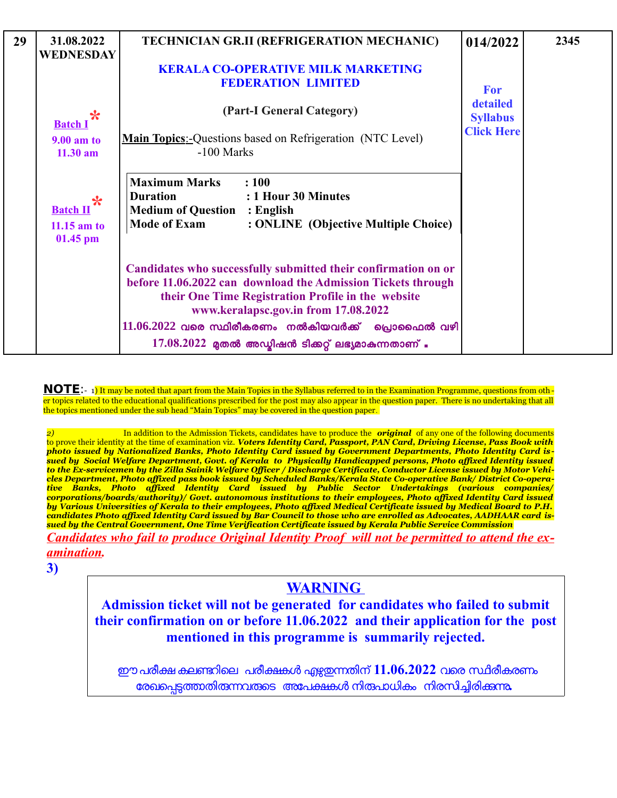| 29 | 31.08.2022<br><b>WEDNESDAY</b>               | TECHNICIAN GR.II (REFRIGERATION MECHANIC)                                                                                                                                                                                    | 014/2022                                                       | 2345 |
|----|----------------------------------------------|------------------------------------------------------------------------------------------------------------------------------------------------------------------------------------------------------------------------------|----------------------------------------------------------------|------|
|    |                                              | <b>KERALA CO-OPERATIVE MILK MARKETING</b><br><b>FEDERATION LIMITED</b>                                                                                                                                                       | <b>For</b><br>detailed<br><b>Syllabus</b><br><b>Click Here</b> |      |
|    | ℀<br><b>Batch</b> I                          | (Part-I General Category)                                                                                                                                                                                                    |                                                                |      |
|    | <b>9.00 am to</b><br>$11.30$ am              | <b>Main Topics:-</b> Questions based on Refrigeration (NTC Level)<br>-100 Marks                                                                                                                                              |                                                                |      |
|    | <b>Batch II</b><br>$11.15$ am to<br>01.45 pm | <b>Maximum Marks</b><br>: 100<br><b>Duration</b><br>: 1 Hour 30 Minutes<br><b>Medium of Question : English</b><br><b>Mode of Exam</b><br>: ONLINE (Objective Multiple Choice)                                                |                                                                |      |
|    |                                              | Candidates who successfully submitted their confirmation on or<br>before 11.06.2022 can download the Admission Tickets through<br>their One Time Registration Profile in the website<br>www.keralapsc.gov.in from 17.08.2022 |                                                                |      |
|    |                                              | $11.06.2022$ വരെ സ്ഥിരീകരണം നൽകിയവർക്ക് പ്രൊഫൈൽ വഴി                                                                                                                                                                          |                                                                |      |
|    |                                              | $17.08.2022$ മുതൽ അഡ്യിഷൻ ടിക്കറ്റ് ലഭ്യമാകുന്നതാണ് .                                                                                                                                                                        |                                                                |      |

**NOTE**:- 1) It may be noted that apart from the Main Topics in the Syllabus referred to in the Examination Programme, questions from oth er topics related to the educational qualifications prescribed for the post may also appear in the question paper. There is no undertaking that all the topics mentioned under the sub head "Main Topics" may be covered in the question paper.

*2)* In addition to the Admission Tickets, candidates have to produce the *original* of any one of the following documents to prove their identity at the time of examination viz. *Voters Identity Card, Passport, PAN Card, Driving License, Pass Book with photo issued by Nationalized Banks, Photo Identity Card issued by Government Departments, Photo Identity Card is sued by Social Welfare Department, Govt. of Kerala to Physically Handicapped persons, Photo affixed Identity issued to the Ex-servicemen by the Zilla Sainik Welfare Officer / Discharge Certificate, Conductor License issued by Motor Vehicles Department, Photo affixed pass book issued by Scheduled Banks/Kerala State Co-operative Bank/ District Co-operative Banks, Photo affixed Identity Card issued by Public Sector Undertakings (various companies/ corporations/boards/authority)/ Govt. autonomous institutions to their employees, Photo affixed Identity Card issued by Various Universities of Kerala to their employees, Photo affixed Medical Certificate issued by Medical Board to P.H. candidates Photo affixed Identity Card issued by Bar Council to those who are enrolled as Advocates, AADHAAR card issued by the Central Government, One Time Verification Certificate issued by Kerala Public Service Commission*

*Candidates who fail to produce Original Identity Proof will not be permitted to attend the examination.*

**3)**

## **WARNING**

**Admission ticket will not be generated for candidates who failed to submit their confirmation on or before 11.06.2022 and their application for the post mentioned in this programme is summarily rejected.**

ഈ പരീക്ഷ കലണ്ടറിലെ പരീക്ഷകൾ ഏഴ്ചയന്നതിന് 11**.06.2022** വരെ സ്ഥിരീകരണം രേഖപെട്ടത്താതിരുന്നവരുടെ അപേക്ഷകൾ നിരപാധികം നിരസിച്ചിരിക്കുന്നു.